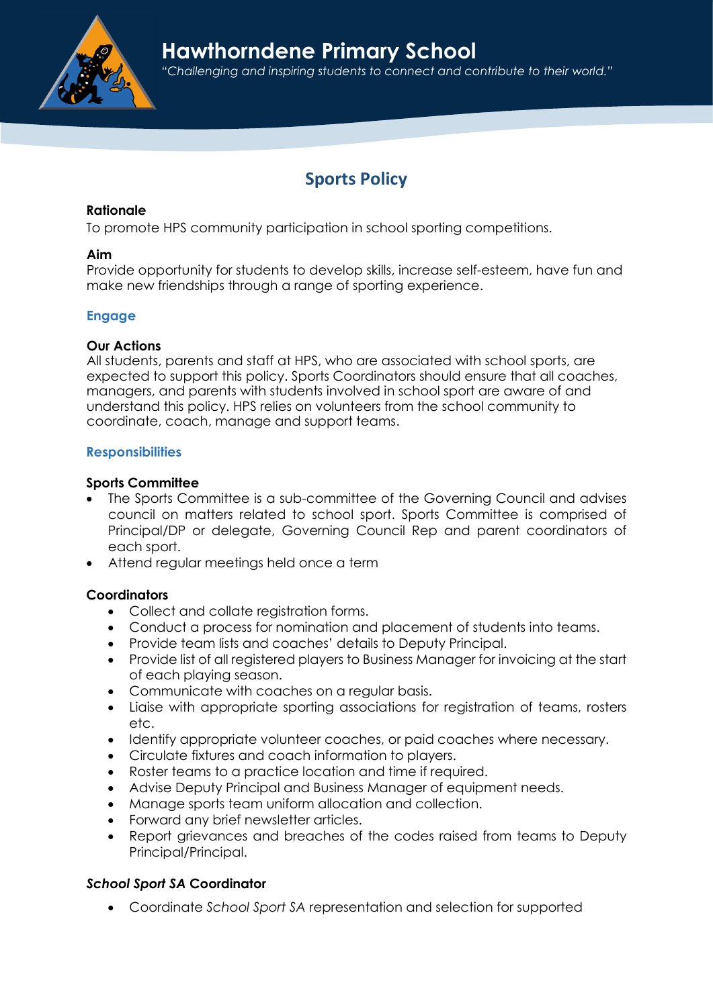

# Sports Policy

## Rationale

To promote HPS community participation in school sporting competitions.

## Aim

Provide opportunity for students to develop skills, increase self-esteem, have fun and make new friendships through a range of sporting experience.

# Engage

## Our Actions

All students, parents and staff at HPS, who are associated with school sports, are expected to support this policy. Sports Coordinators should ensure that all coaches, managers, and parents with students involved in school sport are aware of and understand this policy. HPS relies on volunteers from the school community to coordinate, coach, manage and support teams.

# **Responsibilities**

## Sports Committee

- The Sports Committee is a sub-committee of the Governing Council and advises council on matters related to school sport. Sports Committee is comprised of Principal/DP or delegate, Governing Council Rep and parent coordinators of each sport.
- Attend regular meetings held once a term

# **Coordinators**

- Collect and collate registration forms.
- Conduct a process for nomination and placement of students into teams.
- Provide team lists and coaches' details to Deputy Principal.
- Provide list of all registered players to Business Manager for invoicing at the start of each playing season.
- Communicate with coaches on a reaular basis.
- Liaise with appropriate sporting associations for registration of teams, rosters etc.
- Identify appropriate volunteer coaches, or paid coaches where necessary.
- Circulate fixtures and coach information to players.
- Roster teams to a practice location and time if required.
- Advise Deputy Principal and Business Manager of equipment needs.
- Manage sports team uniform allocation and collection.
- Forward any brief newsletter articles.
- Report grievances and breaches of the codes raised from teams to Deputy Principal/Principal.

# School Sport SA Coordinator

Coordinate School Sport SA representation and selection for supported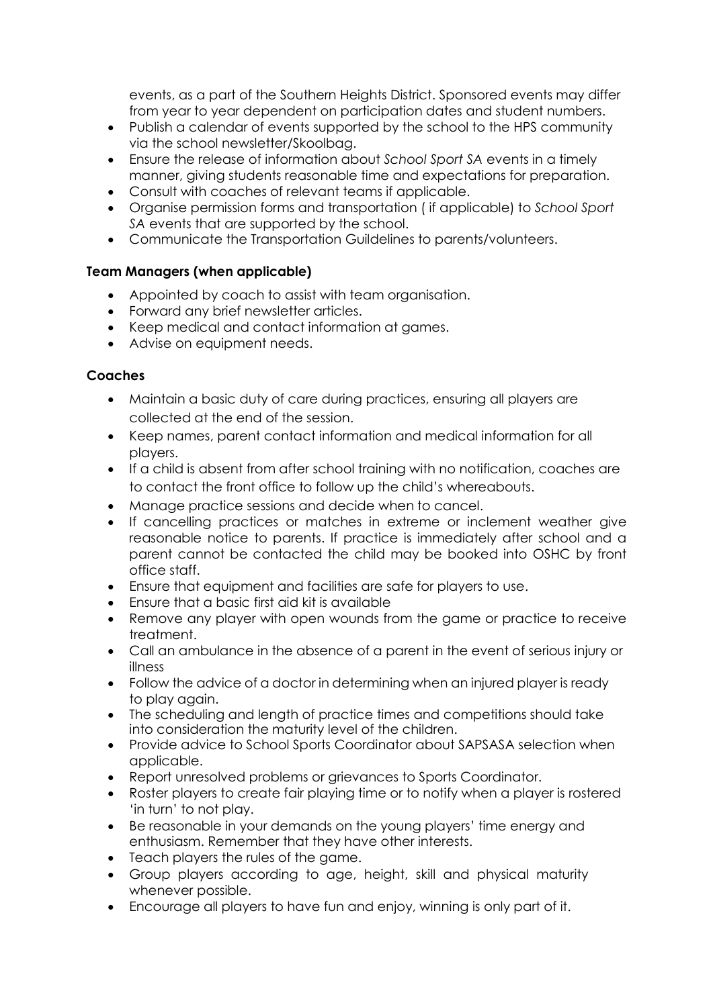events, as a part of the Southern Heights District. Sponsored events may differ from year to year dependent on participation dates and student numbers.

- Publish a calendar of events supported by the school to the HPS community via the school newsletter/Skoolbag.
- Ensure the release of information about School Sport SA events in a timely manner, giving students reasonable time and expectations for preparation.
- Consult with coaches of relevant teams if applicable.
- Organise permission forms and transportation ( if applicable) to School Sport SA events that are supported by the school.
- Communicate the Transportation Guildelines to parents/volunteers.

# Team Managers (when applicable)

- Appointed by coach to assist with team organisation.
- Forward any brief newsletter articles.
- Keep medical and contact information at games.
- Advise on equipment needs.

# Coaches

- Maintain a basic duty of care during practices, ensuring all players are collected at the end of the session.
- Keep names, parent contact information and medical information for all players.
- If a child is absent from after school training with no notification, coaches are to contact the front office to follow up the child's whereabouts.
- Manage practice sessions and decide when to cancel.
- If cancelling practices or matches in extreme or inclement weather give reasonable notice to parents. If practice is immediately after school and a parent cannot be contacted the child may be booked into OSHC by front office staff.
- Ensure that equipment and facilities are safe for players to use.
- Ensure that a basic first aid kit is available
- Remove any player with open wounds from the game or practice to receive treatment.
- Call an ambulance in the absence of a parent in the event of serious injury or illness
- Follow the advice of a doctor in determining when an injured player is ready to play again.
- The scheduling and length of practice times and competitions should take into consideration the maturity level of the children.
- Provide advice to School Sports Coordinator about SAPSASA selection when applicable.
- Report unresolved problems or grievances to Sports Coordinator.
- Roster players to create fair playing time or to notify when a player is rostered 'in turn' to not play.
- Be reasonable in your demands on the young players' time energy and enthusiasm. Remember that they have other interests.
- Teach players the rules of the game.
- Group players according to age, height, skill and physical maturity whenever possible.
- Encourage all players to have fun and enjoy, winning is only part of it.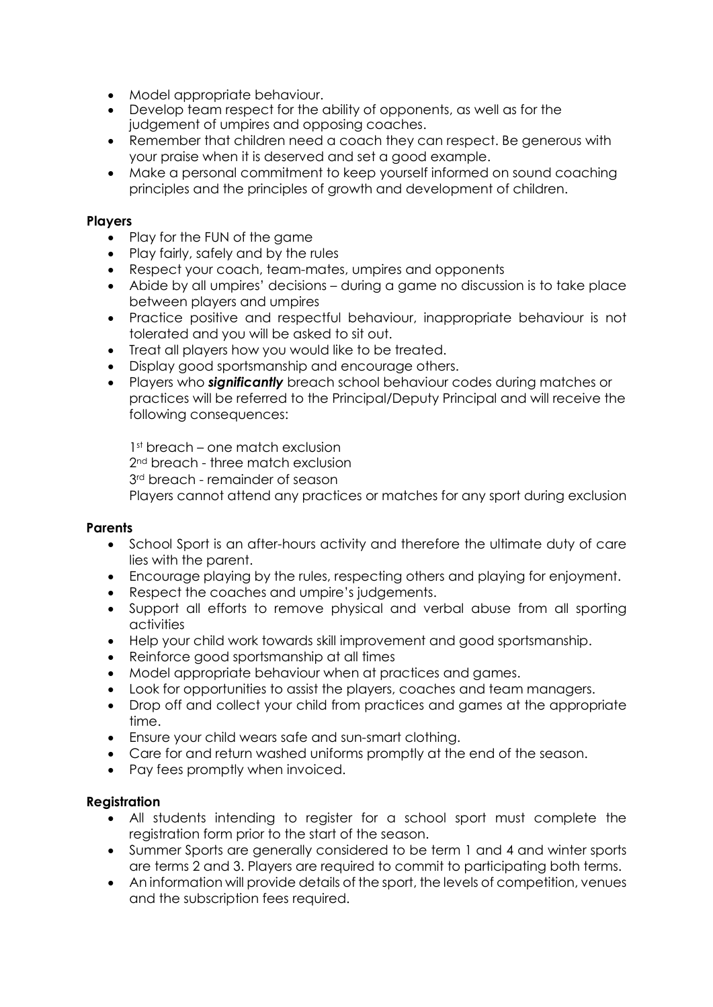- Model appropriate behaviour.
- Develop team respect for the ability of opponents, as well as for the judgement of umpires and opposing coaches.
- Remember that children need a coach they can respect. Be generous with your praise when it is deserved and set a good example.
- Make a personal commitment to keep yourself informed on sound coaching principles and the principles of growth and development of children.

#### Players

- Play for the FUN of the game
- Play fairly, safely and by the rules
- Respect your coach, team-mates, umpires and opponents
- Abide by all umpires' decisions during a game no discussion is to take place between players and umpires
- Practice positive and respectful behaviour, inappropriate behaviour is not tolerated and you will be asked to sit out.
- Treat all players how you would like to be treated.
- Display good sportsmanship and encourage others.
- Players who **significantly** breach school behaviour codes during matches or practices will be referred to the Principal/Deputy Principal and will receive the following consequences:

1<sup>st</sup> breach – one match exclusion 2<sup>nd</sup> breach - three match exclusion 3rd breach - remainder of season Players cannot attend any practices or matches for any sport during exclusion

#### **Parents**

- School Sport is an after-hours activity and therefore the ultimate duty of care lies with the parent.
- Encourage playing by the rules, respecting others and playing for enjoyment.
- Respect the coaches and umpire's judgements.
- Support all efforts to remove physical and verbal abuse from all sporting activities
- Help your child work towards skill improvement and good sportsmanship.
- Reinforce good sportsmanship at all times
- Model appropriate behaviour when at practices and games.
- Look for opportunities to assist the players, coaches and team managers.
- Drop off and collect your child from practices and games at the appropriate time.
- Ensure your child wears safe and sun-smart clothing.
- Care for and return washed uniforms promptly at the end of the season.
- Pay fees promptly when invoiced.

#### Registration

- All students intending to register for a school sport must complete the registration form prior to the start of the season.
- Summer Sports are generally considered to be term 1 and 4 and winter sports are terms 2 and 3. Players are required to commit to participating both terms.
- An information will provide details of the sport, the levels of competition, venues and the subscription fees required.